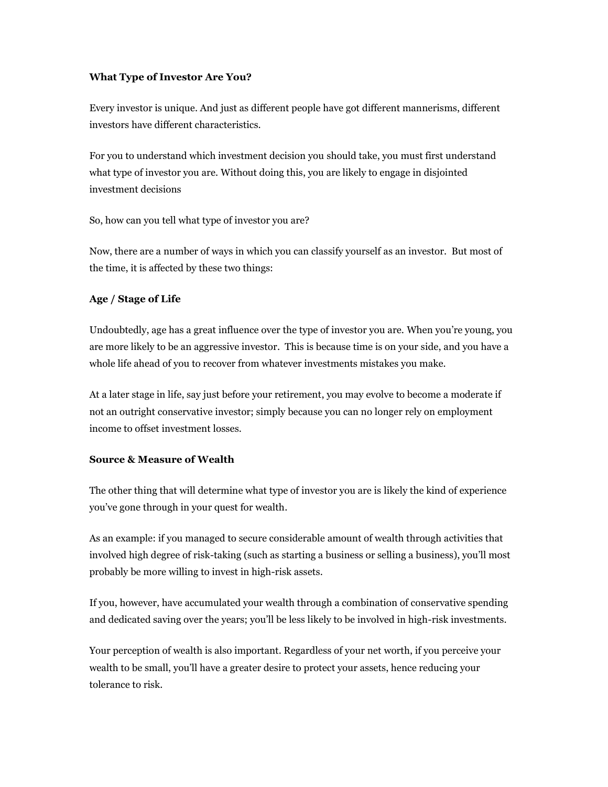## **What Type of Investor Are You?**

Every investor is unique. And just as different people have got different mannerisms, different investors have different characteristics.

For you to understand which investment decision you should take, you must first understand what type of investor you are. Without doing this, you are likely to engage in disjointed investment decisions

So, how can you tell what type of investor you are?

Now, there are a number of ways in which you can classify yourself as an investor. But most of the time, it is affected by these two things:

## **Age / Stage of Life**

Undoubtedly, age has a great influence over the type of investor you are. When you're young, you are more likely to be an aggressive investor. This is because time is on your side, and you have a whole life ahead of you to recover from whatever investments mistakes you make.

At a later stage in life, say just before your retirement, you may evolve to become a moderate if not an outright conservative investor; simply because you can no longer rely on employment income to offset investment losses.

## **Source & Measure of Wealth**

The other thing that will determine what type of investor you are is likely the kind of experience you've gone through in your quest for wealth.

As an example: if you managed to secure considerable amount of wealth through activities that involved high degree of risk-taking (such as starting a business or selling a business), you'll most probably be more willing to invest in high-risk assets.

If you, however, have accumulated your wealth through a combination of conservative spending and dedicated saving over the years; you'll be less likely to be involved in high-risk investments.

Your perception of wealth is also important. Regardless of your net worth, if you perceive your wealth to be small, you'll have a greater desire to protect your assets, hence reducing your tolerance to risk.